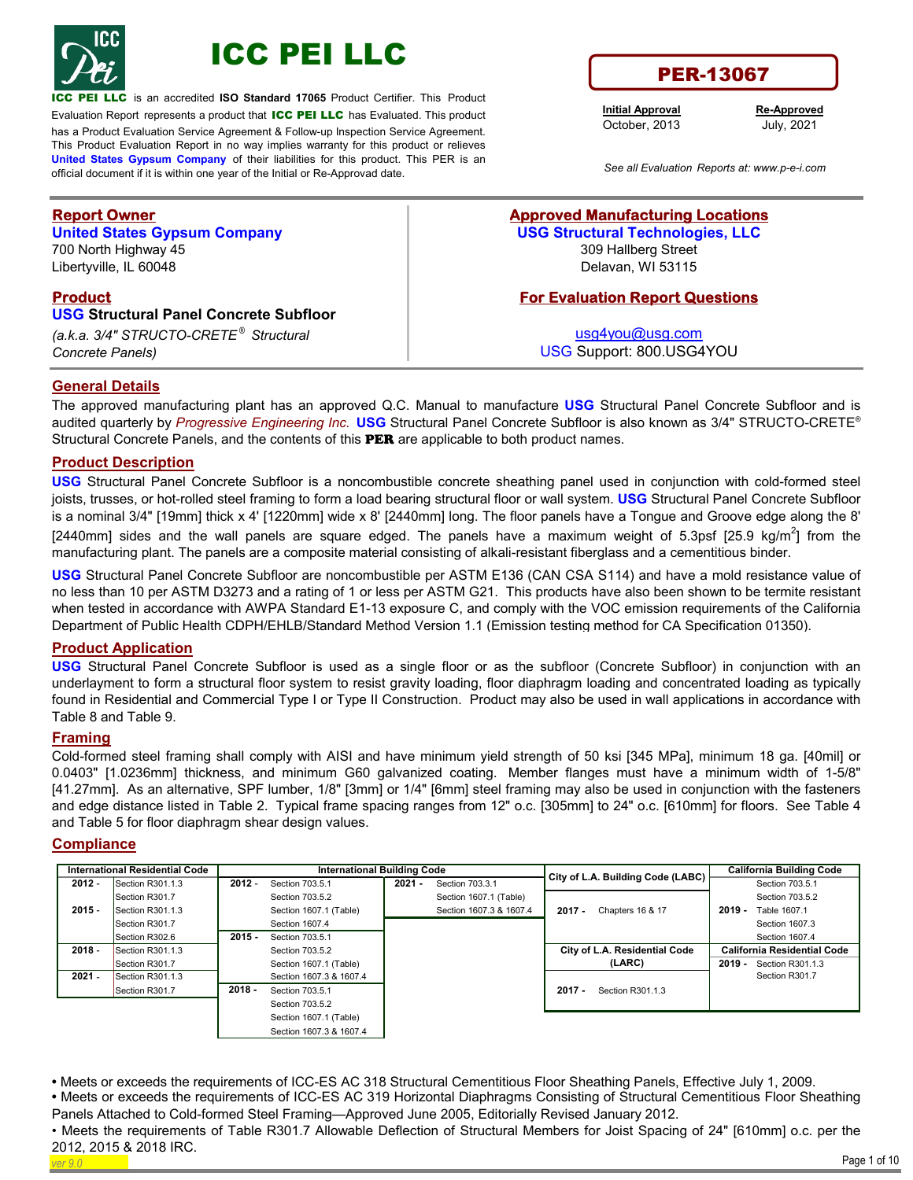



LLC is an accredited **ISO Standard 17065** Product Certifier. This Product

Evaluation Report represents a product that ICC PEI LLC has Evaluated. This product has a Product Evaluation Service Agreement & Follow-up Inspection Service Agreement. This Product Evaluation Report in no way implies warranty for this product or relieves **United States Gypsum Company** of their liabilities for this product. This PER is an official document if it is within one year of the Initial or Re-Approvad date. *See all Evaluation Reports at: www.p-e-i.com*

# **Report Owner**

**United States Gypsum Company** 700 North Highway 45 Libertyville, IL 60048

## **Product**

**USG Structural Panel Concrete Subfloor**  *(a.k.a. 3/4" STRUCTO-CRETE ® Structural* 

*Concrete Panels)*

# PER-13067

**Initial Approval** October, 2013

**Re-Approved** July, 2021

### **Approved Manufacturing Locations USG Structural Technologies, LLC** 309 Hallberg Street Delavan, WI 53115

## **For Evaluation Report Questions**

usg4you@usg.com USG Support: 800.USG4YOU

## **General Details**

The approved manufacturing plant has an approved Q.C. Manual to manufacture **USG** Structural Panel Concrete Subfloor and is audited quarterly by *Progressive Engineering Inc.* **USG** Structural Panel Concrete Subfloor is also known as 3/4" STRUCTO-CRETE® Structural Concrete Panels, and the contents of this **PER** are applicable to both product names.

#### **Product Description**

**USG** Structural Panel Concrete Subfloor is a noncombustible concrete sheathing panel used in conjunction with cold-formed steel joists, trusses, or hot-rolled steel framing to form a load bearing structural floor or wall system. **USG** Structural Panel Concrete Subfloor is a nominal 3/4" [19mm] thick x 4' [1220mm] wide x 8' [2440mm] long. The floor panels have a Tongue and Groove edge along the 8' [2440mm] sides and the wall panels are square edged. The panels have a maximum weight of 5.3psf [25.9 kg/m<sup>2</sup>] from the manufacturing plant. The panels are a composite material consisting of alkali-resistant fiberglass and a cementitious binder.

**USG** Structural Panel Concrete Subfloor are noncombustible per ASTM E136 (CAN CSA S114) and have a mold resistance value of no less than 10 per ASTM D3273 and a rating of 1 or less per ASTM G21. This products have also been shown to be termite resistant when tested in accordance with AWPA Standard E1-13 exposure C, and comply with the VOC emission requirements of the California Department of Public Health CDPH/EHLB/Standard Method Version 1.1 (Emission testing method for CA Specification 01350).

#### **Product Application**

**USG** Structural Panel Concrete Subfloor is used as a single floor or as the subfloor (Concrete Subfloor) in conjunction with an underlayment to form a structural floor system to resist gravity loading, floor diaphragm loading and concentrated loading as typically found in Residential and Commercial Type I or Type II Construction. Product may also be used in wall applications in accordance with Table 8 and Table 9.

#### **Framing**

Cold-formed steel framing shall comply with AISI and have minimum yield strength of 50 ksi [345 MPa], minimum 18 ga. [40mil] or 0.0403" [1.0236mm] thickness, and minimum G60 galvanized coating. Member flanges must have a minimum width of 1-5/8" [41.27mm]. As an alternative, SPF lumber, 1/8" [3mm] or 1/4" [6mm] steel framing may also be used in conjunction with the fasteners and edge distance listed in Table 2. Typical frame spacing ranges from 12" o.c. [305mm] to 24" o.c. [610mm] for floors. See Table 4 and Table 5 for floor diaphragm shear design values.

#### **Compliance**

|          | <b>International Residential Code</b> |          | <b>International Building Code</b> |          |                         | City of L.A. Building Code (LABC) | <b>California Building Code</b> |                                    |
|----------|---------------------------------------|----------|------------------------------------|----------|-------------------------|-----------------------------------|---------------------------------|------------------------------------|
| $2012 -$ | Section R301.1.3                      | $2012 -$ | Section 703.5.1                    | $2021 -$ | Section 703.3.1         |                                   |                                 | Section 703.5.1                    |
|          | Section R301.7                        |          | Section 703.5.2                    |          | Section 1607.1 (Table)  |                                   |                                 | Section 703.5.2                    |
| $2015 -$ | Section R301.1.3                      |          | Section 1607.1 (Table)             |          | Section 1607.3 & 1607.4 | $2017 -$<br>Chapters 16 & 17      | $2019 -$                        | Table 1607.1                       |
|          | Section R301.7                        |          | Section 1607.4                     |          |                         |                                   |                                 | Section 1607.3                     |
|          | Section R302.6                        | $2015 -$ | Section 703.5.1                    |          |                         |                                   |                                 | Section 1607.4                     |
| $2018 -$ | Section R301.1.3                      |          | Section 703.5.2                    |          |                         | City of L.A. Residential Code     |                                 | <b>California Residential Code</b> |
|          | Section R301.7                        |          | Section 1607.1 (Table)             |          |                         | (LARC)                            | $2019 -$                        | Section R301.1.3                   |
| $2021 -$ | Section R301.1.3                      |          | Section 1607.3 & 1607.4            |          |                         |                                   |                                 | Section R301.7                     |
|          | Section R301.7                        | $2018 -$ | Section 703.5.1                    |          |                         | $2017 -$<br>Section R301.1.3      |                                 |                                    |
|          |                                       |          | Section 703.5.2                    |          |                         |                                   |                                 |                                    |
|          |                                       |          | Section 1607.1 (Table)             |          |                         |                                   |                                 |                                    |
|          |                                       |          | Section 1607.3 & 1607.4            |          |                         |                                   |                                 |                                    |

**•** Meets or exceeds the requirements of ICC-ES AC 318 Structural Cementitious Floor Sheathing Panels, Effective July 1, 2009.

**•** Meets or exceeds the requirements of ICC-ES AC 319 Horizontal Diaphragms Consisting of Structural Cementitious Floor Sheathing Panels Attached to Cold-formed Steel Framing—Approved June 2005, Editorially Revised January 2012.

*ver 9.0* Page 1 of 10 • Meets the requirements of Table R301.7 Allowable Deflection of Structural Members for Joist Spacing of 24" [610mm] o.c. per the 2012, 2015 & 2018 IRC. l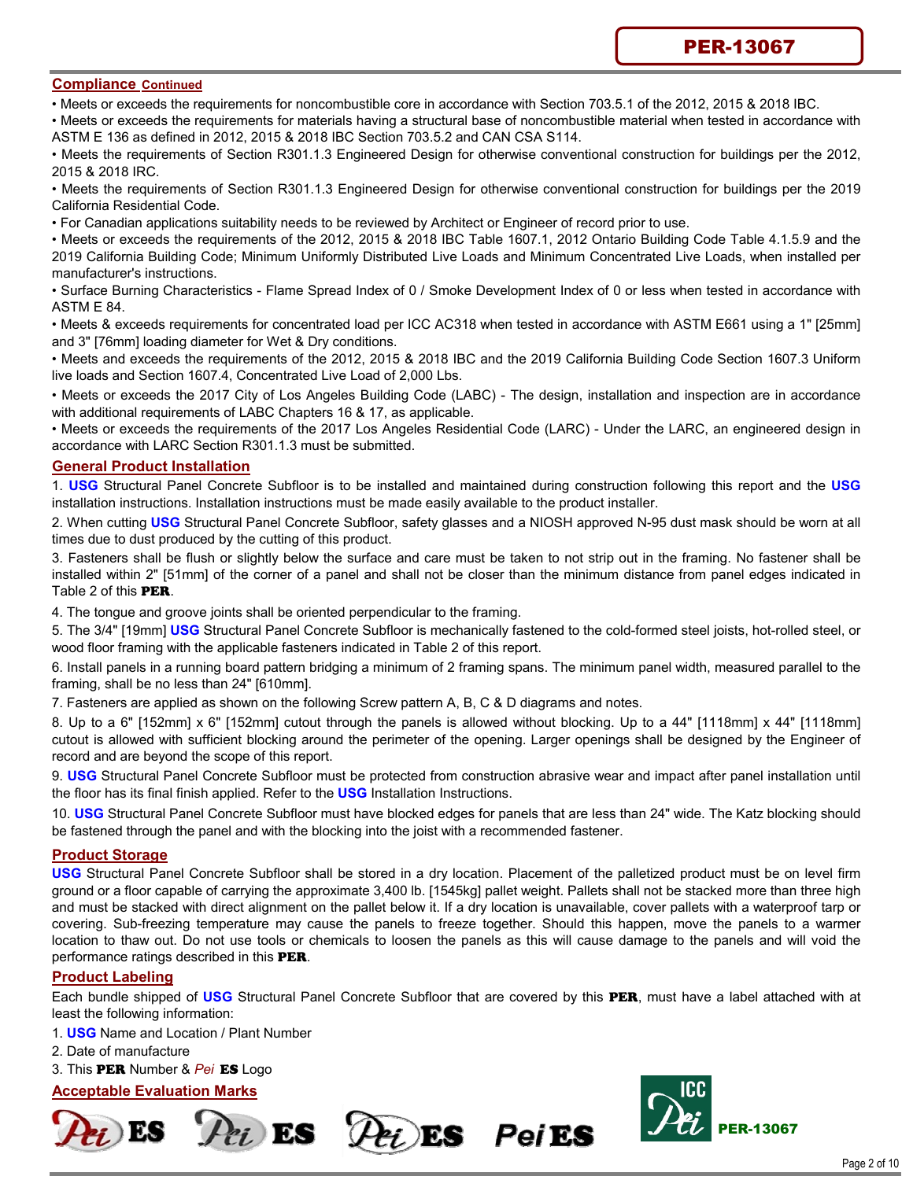#### **Compliance Continued**

• Meets or exceeds the requirements for noncombustible core in accordance with Section 703.5.1 of the 2012, 2015 & 2018 IBC.

• Meets or exceeds the requirements for materials having a structural base of noncombustible material when tested in accordance with ASTM E 136 as defined in 2012, 2015 & 2018 IBC Section 703.5.2 and CAN CSA S114.

• Meets the requirements of Section R301.1.3 Engineered Design for otherwise conventional construction for buildings per the 2012, 2015 & 2018 IRC.

• Meets the requirements of Section R301.1.3 Engineered Design for otherwise conventional construction for buildings per the 2019 California Residential Code.

• For Canadian applications suitability needs to be reviewed by Architect or Engineer of record prior to use.

• Meets or exceeds the requirements of the 2012, 2015 & 2018 IBC Table 1607.1, 2012 Ontario Building Code Table 4.1.5.9 and the 2019 California Building Code; Minimum Uniformly Distributed Live Loads and Minimum Concentrated Live Loads, when installed per manufacturer's instructions.

• Surface Burning Characteristics - Flame Spread Index of 0 / Smoke Development Index of 0 or less when tested in accordance with ASTM E 84.

• Meets & exceeds requirements for concentrated load per ICC AC318 when tested in accordance with ASTM E661 using a 1" [25mm] and 3" [76mm] loading diameter for Wet & Dry conditions.

• Meets and exceeds the requirements of the 2012, 2015 & 2018 IBC and the 2019 California Building Code Section 1607.3 Uniform live loads and Section 1607.4, Concentrated Live Load of 2,000 Lbs.

• Meets or exceeds the 2017 City of Los Angeles Building Code (LABC) - The design, installation and inspection are in accordance with additional requirements of LABC Chapters 16 & 17, as applicable.

• Meets or exceeds the requirements of the 2017 Los Angeles Residential Code (LARC) - Under the LARC, an engineered design in accordance with LARC Section R301.1.3 must be submitted.

#### **General Product Installation**

1. **USG** Structural Panel Concrete Subfloor is to be installed and maintained during construction following this report and the **USG**  installation instructions. Installation instructions must be made easily available to the product installer.

2. When cutting **USG** Structural Panel Concrete Subfloor, safety glasses and a NIOSH approved N-95 dust mask should be worn at all times due to dust produced by the cutting of this product.

3. Fasteners shall be flush or slightly below the surface and care must be taken to not strip out in the framing. No fastener shall be installed within 2" [51mm] of the corner of a panel and shall not be closer than the minimum distance from panel edges indicated in Table 2 of this PER.

4. The tongue and groove joints shall be oriented perpendicular to the framing.

5. The 3/4" [19mm] **USG** Structural Panel Concrete Subfloor is mechanically fastened to the cold-formed steel joists, hot-rolled steel, or wood floor framing with the applicable fasteners indicated in Table 2 of this report.

6. Install panels in a running board pattern bridging a minimum of 2 framing spans. The minimum panel width, measured parallel to the framing, shall be no less than 24" [610mm].

7. Fasteners are applied as shown on the following Screw pattern A, B, C & D diagrams and notes.

8. Up to a 6" [152mm] x 6" [152mm] cutout through the panels is allowed without blocking. Up to a 44" [1118mm] x 44" [1118mm] cutout is allowed with sufficient blocking around the perimeter of the opening. Larger openings shall be designed by the Engineer of record and are beyond the scope of this report.

9. **USG** Structural Panel Concrete Subfloor must be protected from construction abrasive wear and impact after panel installation until the floor has its final finish applied. Refer to the **USG** Installation Instructions.

10. **USG** Structural Panel Concrete Subfloor must have blocked edges for panels that are less than 24" wide. The Katz blocking should be fastened through the panel and with the blocking into the joist with a recommended fastener.

#### **Product Storage**

**USG** Structural Panel Concrete Subfloor shall be stored in a dry location. Placement of the palletized product must be on level firm ground or a floor capable of carrying the approximate 3,400 lb. [1545kg] pallet weight. Pallets shall not be stacked more than three high and must be stacked with direct alignment on the pallet below it. If a dry location is unavailable, cover pallets with a waterproof tarp or covering. Sub-freezing temperature may cause the panels to freeze together. Should this happen, move the panels to a warmer location to thaw out. Do not use tools or chemicals to loosen the panels as this will cause damage to the panels and will void the performance ratings described in this PER.

#### **Product Labeling**

Each bundle shipped of **USG** Structural Panel Concrete Subfloor that are covered by this PER, must have a label attached with at least the following information:

Pei ES

- 1. **USG** Name and Location / Plant Number
- 2. Date of manufacture
- 3. This PER Number & *Pei* ES Logo

#### **Acceptable Evaluation Marks**





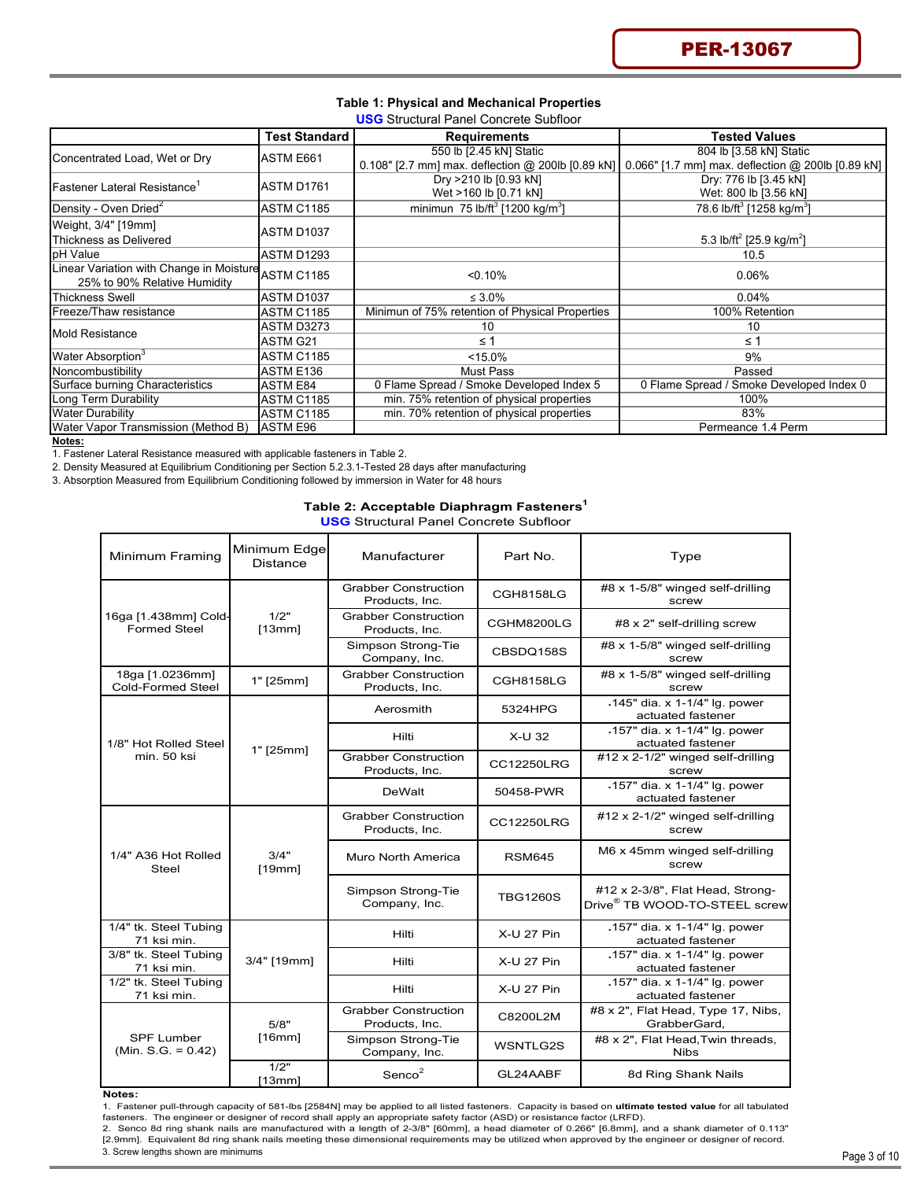| <b>Table 1: Physical and Mechanical Properties</b> |
|----------------------------------------------------|
| <b>USG</b> Structural Panel Concrete Subfloor      |

|                                                     | <u>UUU</u> Oli uutulai Tallui Oolluidee Oubilool |                                                         |                                                                                                     |  |  |  |  |  |  |  |
|-----------------------------------------------------|--------------------------------------------------|---------------------------------------------------------|-----------------------------------------------------------------------------------------------------|--|--|--|--|--|--|--|
|                                                     | Test Standard                                    | <b>Requirements</b>                                     | <b>Tested Values</b>                                                                                |  |  |  |  |  |  |  |
| Concentrated Load, Wet or Dry                       | ASTM E661                                        | 550 lb [2.45 kN] Static                                 | 804 lb [3.58 kN] Static                                                                             |  |  |  |  |  |  |  |
|                                                     |                                                  |                                                         | 0.108" [2.7 mm] max. deflection @ 200lb [0.89 kN] 0.066" [1.7 mm] max. deflection @ 200lb [0.89 kN] |  |  |  |  |  |  |  |
|                                                     | ASTM D1761                                       | Dry >210 lb [0.93 kN]                                   | Dry: 776 lb [3.45 kN]                                                                               |  |  |  |  |  |  |  |
| $\sf I$ Fastener Lateral Resistance $^{\sf T}$      |                                                  | Wet >160 lb [0.71 kN]                                   | Wet: 800 lb [3.56 kN]                                                                               |  |  |  |  |  |  |  |
| Density - Oven Dried <sup>2</sup>                   | <b>ASTM C1185</b>                                | minimun 75 lb/ft <sup>3</sup> [1200 kg/m <sup>3</sup> ] | 78.6 lb/ft <sup>3</sup> [1258 kg/m <sup>3</sup> ]                                                   |  |  |  |  |  |  |  |
| Weight, 3/4" [19mm]                                 |                                                  |                                                         |                                                                                                     |  |  |  |  |  |  |  |
| Thickness as Delivered                              | ASTM D1037                                       |                                                         | 5.3 lb/ft <sup>2</sup> [25.9 kg/m <sup>2</sup> ]                                                    |  |  |  |  |  |  |  |
| pH Value                                            | <b>ASTM D1293</b>                                |                                                         | 10.5                                                                                                |  |  |  |  |  |  |  |
| Linear Variation with Change in Moisture ASTM C1185 |                                                  | < 0.10%                                                 | 0.06%                                                                                               |  |  |  |  |  |  |  |
| 25% to 90% Relative Humidity                        |                                                  |                                                         |                                                                                                     |  |  |  |  |  |  |  |
| Thickness Swell                                     | <b>ASTM D1037</b>                                | $\leq 3.0\%$                                            | 0.04%                                                                                               |  |  |  |  |  |  |  |
| Freeze/Thaw resistance                              | <b>ASTM C1185</b>                                | Minimun of 75% retention of Physical Properties         | 100% Retention                                                                                      |  |  |  |  |  |  |  |
| Mold Resistance                                     | ASTM D3273                                       | 10                                                      | 10                                                                                                  |  |  |  |  |  |  |  |
|                                                     | ASTM G21                                         | $\leq 1$                                                | $\leq 1$                                                                                            |  |  |  |  |  |  |  |
| Water Absorption <sup>3</sup>                       | <b>ASTM C1185</b>                                | $< 15.0\%$                                              | 9%                                                                                                  |  |  |  |  |  |  |  |
| Noncombustibility                                   | ASTM E136                                        | Must Pass                                               | Passed                                                                                              |  |  |  |  |  |  |  |
| Surface burning Characteristics                     | <b>ASTM E84</b>                                  | 0 Flame Spread / Smoke Developed Index 5                | 0 Flame Spread / Smoke Developed Index 0                                                            |  |  |  |  |  |  |  |
| Long Term Durability                                | <b>ASTM C1185</b>                                | min. 75% retention of physical properties               | 100%                                                                                                |  |  |  |  |  |  |  |
| <b>Water Durability</b>                             | <b>ASTM C1185</b>                                | min. 70% retention of physical properties               | 83%                                                                                                 |  |  |  |  |  |  |  |
| Water Vapor Transmission (Method B)                 | ASTM E96                                         |                                                         | Permeance 1.4 Perm                                                                                  |  |  |  |  |  |  |  |

**Notes:**

1. Fastener Lateral Resistance measured with applicable fasteners in Table 2.

2. Density Measured at Equilibrium Conditioning per Section 5.2.3.1-Tested 28 days after manufacturing

3. Absorption Measured from Equilibrium Conditioning followed by immersion in Water for 48 hours

#### **Table 2: Acceptable Diaphragm Fasteners1**

**USG** Structural Panel Concrete Subfloor

| Minimum Framing                             | Minimum Edge<br><b>Distance</b> | Manufacturer                                  | Part No.          | Type                                                                          |
|---------------------------------------------|---------------------------------|-----------------------------------------------|-------------------|-------------------------------------------------------------------------------|
|                                             |                                 | <b>Grabber Construction</b><br>Products, Inc. | <b>CGH8158LG</b>  | #8 x 1-5/8" winged self-drilling<br>screw                                     |
| 16ga [1.438mm] Cold-<br><b>Formed Steel</b> | 1/2"<br>[13mm]                  | <b>Grabber Construction</b><br>Products, Inc. | CGHM8200LG        | #8 x 2" self-drilling screw                                                   |
|                                             |                                 | Simpson Strong-Tie<br>Company, Inc.           | CBSDQ158S         | #8 x 1-5/8" winged self-drilling<br>screw                                     |
| 18ga [1.0236mm]<br><b>Cold-Formed Steel</b> | 1" [25mm]                       | <b>Grabber Construction</b><br>Products, Inc. | CGH8158LG         | #8 x 1-5/8" winged self-drilling<br>screw                                     |
|                                             |                                 | Aerosmith                                     | 5324HPG           | .145" dia. x 1-1/4" lg. power<br>actuated fastener                            |
| 1/8" Hot Rolled Steel                       | $1"$ [25mm]                     | Hilti                                         | X-U 32            | .157" dia. x 1-1/4" lg. power<br>actuated fastener                            |
| min. 50 ksi                                 |                                 | <b>Grabber Construction</b><br>Products, Inc. | <b>CC12250LRG</b> | #12 x 2-1/2" winged self-drilling<br>screw                                    |
|                                             |                                 | DeWalt                                        | 50458-PWR         | .157" dia. x 1-1/4" lg. power<br>actuated fastener                            |
|                                             |                                 | <b>Grabber Construction</b><br>Products, Inc. | <b>CC12250LRG</b> | #12 x 2-1/2" winged self-drilling<br>screw                                    |
| 1/4" A36 Hot Rolled<br>Steel                | 3/4"<br>[19mm]                  | Muro North America                            | <b>RSM645</b>     | M6 x 45mm winged self-drilling<br>screw                                       |
|                                             |                                 | Simpson Strong-Tie<br>Company, Inc.           | <b>TBG1260S</b>   | #12 x 2-3/8", Flat Head, Strong-<br>Drive <sup>®</sup> TB WOOD-TO-STEEL screw |
| 1/4" tk. Steel Tubing<br>71 ksi min.        |                                 | Hilti                                         | X-U 27 Pin        | .157" dia. x 1-1/4" lg. power<br>actuated fastener                            |
| 3/8" tk. Steel Tubing<br>71 ksi min.        | 3/4" [19mm]                     | Hilti                                         | X-U 27 Pin        | .157" dia. x 1-1/4" lg. power<br>actuated fastener                            |
| 1/2" tk. Steel Tubing<br>71 ksi min.        |                                 | Hilti                                         | X-U 27 Pin        | .157" dia. x 1-1/4" lg. power<br>actuated fastener                            |
|                                             | 5/8"                            | <b>Grabber Construction</b><br>Products, Inc. | C8200L2M          | #8 x 2", Flat Head, Type 17, Nibs,<br>GrabberGard,                            |
| <b>SPF Lumber</b><br>$(Min. S.G. = 0.42)$   | [16mm]                          | Simpson Strong-Tie<br>Company, Inc.           | WSNTLG2S          | #8 x 2", Flat Head, Twin threads,<br><b>Nibs</b>                              |
|                                             | 1/2"<br>[13mm]                  | Senco <sup>2</sup>                            | GL24AABF          | 8d Ring Shank Nails                                                           |

#### **Notes:**

1. Fastener pull-through capacity of 581-lbs [2584N] may be applied to all listed fasteners. Capacity is based on **ultimate tested value** for all tabulated<br>fasteners. The engineer or designer of record shall apply an ap

3. Screw lengths shown are minimums í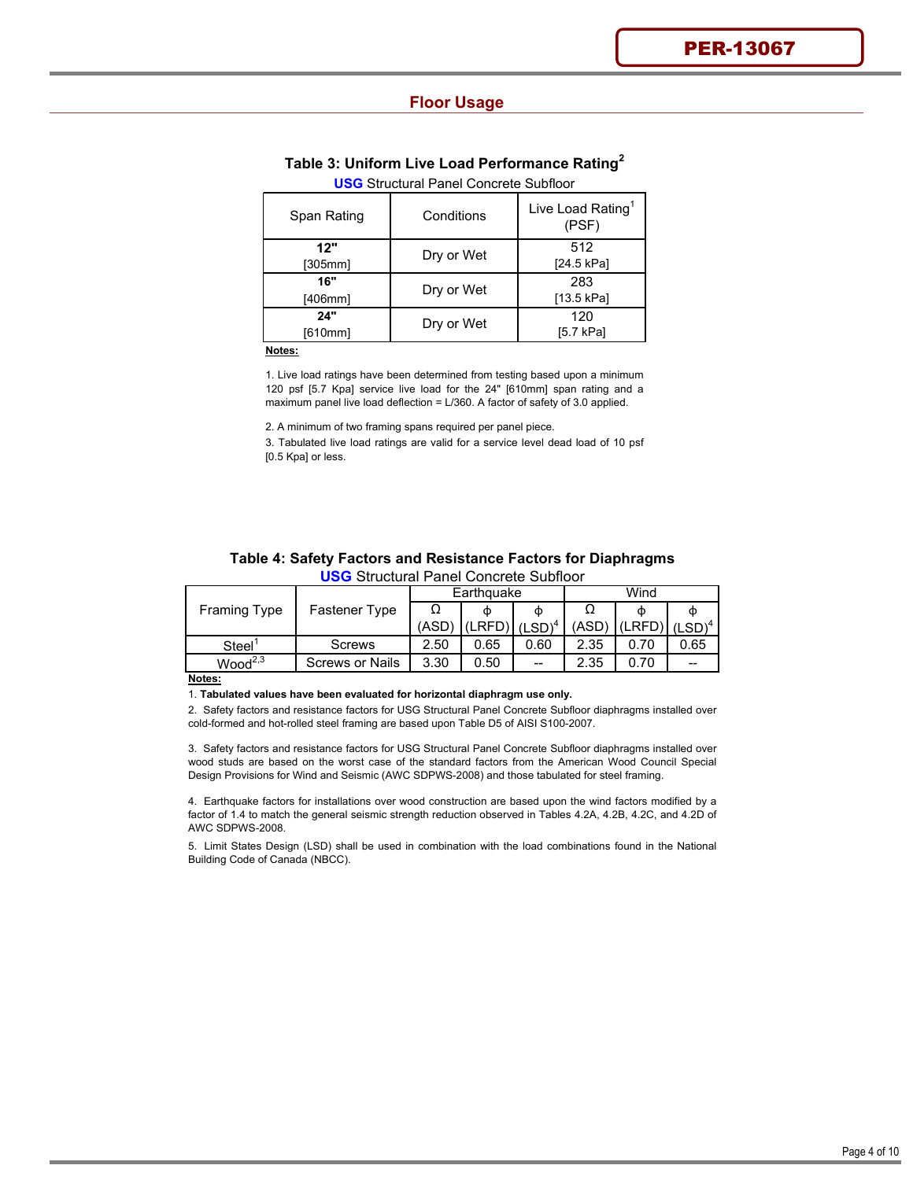#### **Floor Usage**

## **Table 3: Uniform Live Load Performance Rating<sup>2</sup>**

| <b>USG</b> Structural Pariei Concrete Sublicon |            |                                        |  |  |  |  |  |
|------------------------------------------------|------------|----------------------------------------|--|--|--|--|--|
| Span Rating                                    | Conditions | Live Load Rating <sup>1</sup><br>(PSF) |  |  |  |  |  |
| 12"<br>[305mm]                                 | Dry or Wet | 512<br>[24.5 kPa]                      |  |  |  |  |  |
| 16"<br>[406mm]                                 | Dry or Wet | 283<br>[13.5 kPa]                      |  |  |  |  |  |
| 24"<br>[610mm]                                 | Dry or Wet | 120<br>[5.7 kPa]                       |  |  |  |  |  |
|                                                |            |                                        |  |  |  |  |  |

#### **USG** Structural Panel Concrete Subfloor

**Notes:**

1. Live load ratings have been determined from testing based upon a minimum 120 psf [5.7 Kpa] service live load for the 24" [610mm] span rating and a maximum panel live load deflection = L/360. A factor of safety of 3.0 applied.

2. A minimum of two framing spans required per panel piece.

3. Tabulated live load ratings are valid for a service level dead load of 10 psf [0.5 Kpa] or less.

| Table 4: Safety Factors and Resistance Factors for Diaphragms |  |
|---------------------------------------------------------------|--|
| <b>USG</b> Structural Panel Concrete Subfloor                 |  |

|                     |                 |       | Earthquake                            |      | Wind |                           |      |  |
|---------------------|-----------------|-------|---------------------------------------|------|------|---------------------------|------|--|
| <b>Framing Type</b> | Fastener Type   |       | Φ                                     | Φ    |      |                           |      |  |
|                     |                 | (ASD) | $ $ (LRFD) $ $ (LSD) <sup>4</sup> $ $ |      |      | $(ASD)$ $(LRFD)$ $(LSD)4$ |      |  |
| Steel               | Screws          | 2.50  | 0.65                                  | 0.60 | 2.35 | 0.70                      | 0.65 |  |
| Wood <sup>2,3</sup> | Screws or Nails | 3.30  | 0.50                                  | $-$  | 2.35 |                           | --   |  |

**Notes:**

1. **Tabulated values have been evaluated for horizontal diaphragm use only.** 

2. Safety factors and resistance factors for USG Structural Panel Concrete Subfloor diaphragms installed over cold-formed and hot-rolled steel framing are based upon Table D5 of AISI S100-2007.

3. Safety factors and resistance factors for USG Structural Panel Concrete Subfloor diaphragms installed over wood studs are based on the worst case of the standard factors from the American Wood Council Special Design Provisions for Wind and Seismic (AWC SDPWS-2008) and those tabulated for steel framing.

4. Earthquake factors for installations over wood construction are based upon the wind factors modified by a factor of 1.4 to match the general seismic strength reduction observed in Tables 4.2A, 4.2B, 4.2C, and 4.2D of AWC SDPWS-2008.

5. Limit States Design (LSD) shall be used in combination with the load combinations found in the National Building Code of Canada (NBCC).

I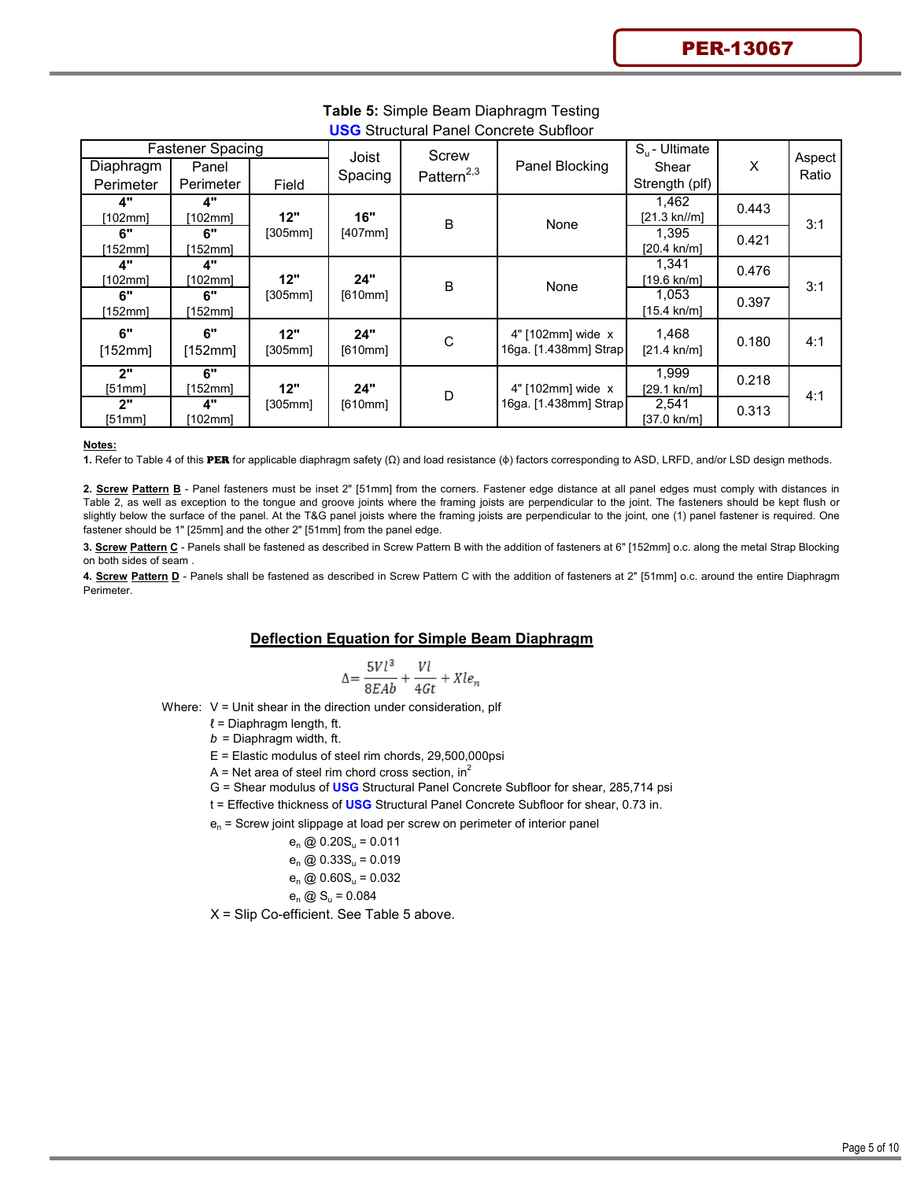| <b>Diaphragm</b><br>Perimeter | <b>Fastener Spacing</b><br>Panel<br>Perimeter | Field          | Joist<br>Spacing | Screw<br>Pattern $^{2,3}$ | Panel Blocking                             | $S_{\rm u}$ - Ultimate<br>Shear<br>Strength (plf) | X     | Aspect<br>Ratio |
|-------------------------------|-----------------------------------------------|----------------|------------------|---------------------------|--------------------------------------------|---------------------------------------------------|-------|-----------------|
| 4"<br>[102mm]                 | 4"<br>[102mm]                                 | 12"            | 16"              | $\sf B$                   | None                                       | 1,462<br>$[21.3 \text{ kn}]/m]$                   | 0.443 | 3:1             |
| 6"<br>[152mm]                 | 6"<br>[152mm]                                 | [305mm]        | [407mm]          |                           |                                            | 1,395<br>$[20.4 \text{ kn/m}]$                    | 0.421 |                 |
| 4"<br>[102mm]                 | 4"<br>[102mm]                                 | 12"            | 24"              | B                         | None                                       | 1,341<br>[19.6 kn/m]                              | 0.476 | 3:1             |
| 6"<br>[152mm]                 | 6"<br>[152mm]                                 | [305mm]        | [610mm]          |                           |                                            | 1,053<br>[15.4 kn/m]                              | 0.397 |                 |
| 6"<br>[152mm]                 | 6"<br>[152mm]                                 | 12"<br>[305mm] | 24"<br>[610mm]   | C                         | 4" [102mm] wide x<br>16ga. [1.438mm] Strap | 1,468<br>$[21.4 \text{ kn/m}]$                    | 0.180 | 4:1             |
| 2"<br>[51mm]                  | 6"<br>[152mm]                                 | 12"            | 24"              | D                         | 4" [102mm] wide x                          | 1,999<br>[29.1 kn/m]                              | 0.218 | 4:1             |
| 2"<br>[51mm]                  | 4"<br>[102mm]                                 | [305mm]        | [610mm]          |                           | 16ga. [1.438mm] Strap                      | 2,541<br>[37.0 kn/m]                              | 0.313 |                 |

#### **Table 5:** Simple Beam Diaphragm Testing **USG** Structural Panel Concrete Subfloor

#### **Notes:**

**1.** Refer to Table 4 of this PER for applicable diaphragm safety (Ω) and load resistance (φ) factors corresponding to ASD, LRFD, and/or LSD design methods.

**2. Screw Pattern B** - Panel fasteners must be inset 2" [51mm] from the corners. Fastener edge distance at all panel edges must comply with distances in Table 2, as well as exception to the tongue and groove joints where the framing joists are perpendicular to the joint. The fasteners should be kept flush or slightly below the surface of the panel. At the T&G panel joists where the framing joists are perpendicular to the joint, one (1) panel fastener is required. One fastener should be 1" [25mm] and the other 2" [51mm] from the panel edge.

**3. Screw Pattern C** - Panels shall be fastened as described in Screw Pattern B with the addition of fasteners at 6" [152mm] o.c. along the metal Strap Blocking on both sides of seam .

**4. Screw Pattern D** - Panels shall be fastened as described in Screw Pattern C with the addition of fasteners at 2" [51mm] o.c. around the entire Diaphragm Perimeter.

### **Deflection Equation for Simple Beam Diaphragm**

$$
\Delta = \frac{5Vl^3}{8EAb} + \frac{Vl}{4Gt} + Xle_n
$$

Where:  $V =$  Unit shear in the direction under consideration, plf

 $\ell$  = Diaphragm length, ft.

 $b =$  Diaphragm width, ft.

E = Elastic modulus of steel rim chords, 29,500,000psi

A = Net area of steel rim chord cross section,  $in^2$ 

- G = Shear modulus of **USG** Structural Panel Concrete Subfloor for shear, 285,714 psi
- t = Effective thickness of **USG** Structural Panel Concrete Subfloor for shear, 0.73 in.

 $e_n$  = Screw joint slippage at load per screw on perimeter of interior panel

$$
e_n \text{ @ } 0.20S_u = 0.011
$$

$$
e_n \text{ @ } 0.33S_u = 0.019
$$
  
 $e_n \text{ @ } 0.60S_u = 0.032$ 

$$
e_n \omega
$$
 0.60 $S_u = 0.03$ 

$$
\mathbf{e}_n \text{ @ } \mathbf{S}_u = 0.084
$$

X = Slip Co-efficient. See Table 5 above.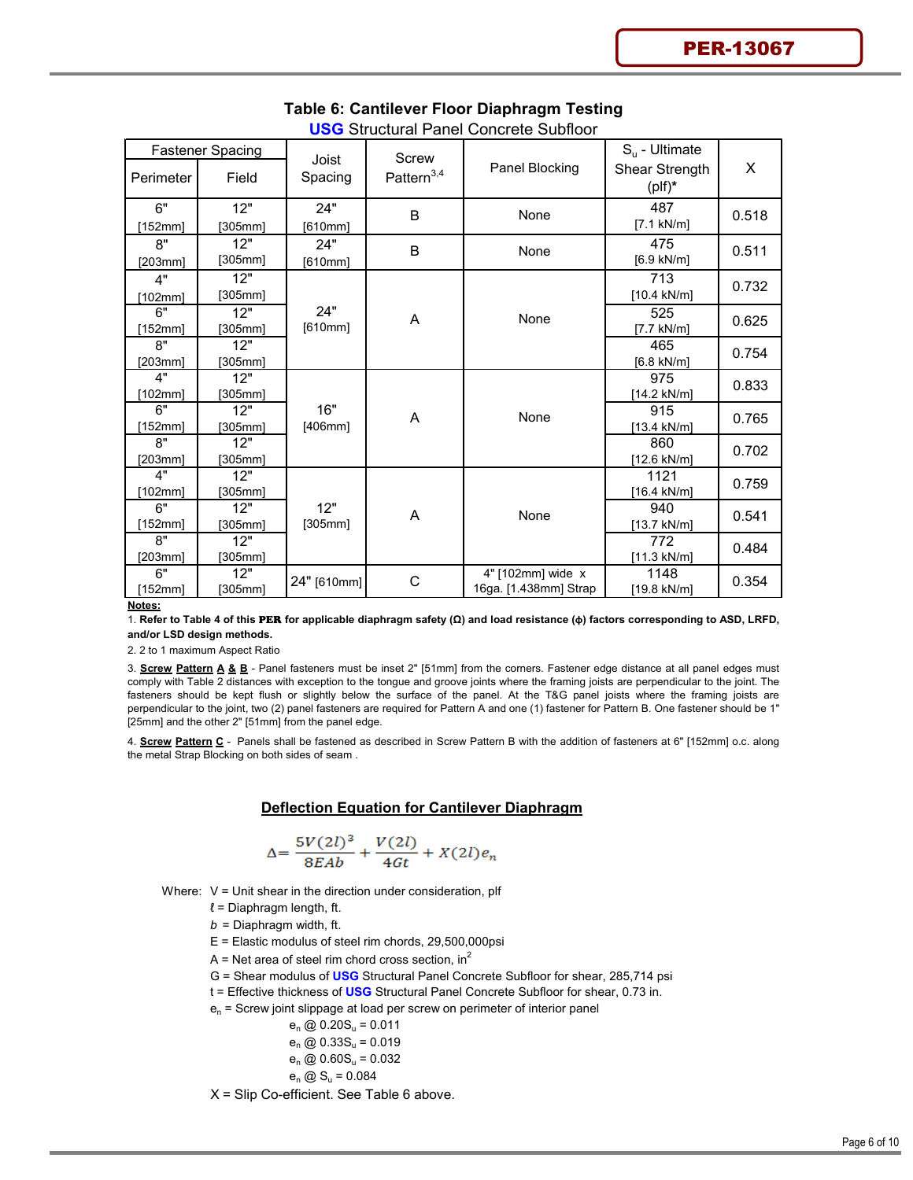| <b>Fastener Spacing</b> |                | Joist       | Screw                  |                                            | $S_{\rm u}$ - Ultimate      |       |
|-------------------------|----------------|-------------|------------------------|--------------------------------------------|-----------------------------|-------|
| Perimeter               | Field          | Spacing     | Pattern <sup>3,4</sup> | Panel Blocking                             | Shear Strength<br>$(plf)^*$ | X     |
| 6"                      | 12"            | 24"         | B                      | None                                       | 487                         | 0.518 |
| [152mm]                 | [305mm]        | [610mm]     |                        |                                            | $[7.1$ kN/m]                |       |
| 8"                      | 12"            | 24"         | B                      | None                                       | 475                         | 0.511 |
| [203mm]                 | [305mm]        | [610mm]     |                        |                                            | $[6.9 \text{ kN/m}]$        |       |
| 4"                      | 12"            |             |                        |                                            | 713                         | 0.732 |
| [102mm]                 | [305mm]        |             |                        |                                            | $[10.4 \text{ kN/m}]$       |       |
| 6"                      | 12"            | 24"         | A                      | None                                       | 525                         | 0.625 |
| [152mm]                 | [305mm]        | [610mm]     |                        |                                            | $[7.7$ kN/m]                |       |
| 8"                      | 12"            |             |                        |                                            | 465                         | 0.754 |
| [203mm]                 | [305mm]        |             |                        |                                            | $[6.8 \text{ kN/m}]$        |       |
| 4"                      | 12"            |             |                        |                                            | 975                         | 0.833 |
| [102mm]                 | [305mm]        |             |                        |                                            | [14.2 kN/m]                 |       |
| 6"                      | 12"            | 16"         | A                      | None                                       | 915                         | 0.765 |
| [152mm]                 | [305mm]        | [406mm]     |                        |                                            | $[13.4 \text{ kN/m}]$       |       |
| 8"                      | 12"            |             |                        |                                            | 860                         | 0.702 |
| [203mm]                 | [305mm]        |             |                        |                                            | [12.6 kN/m]                 |       |
| 4"                      | 12"            |             |                        |                                            | 1121                        | 0.759 |
| [102mm]                 | [305mm]        |             |                        |                                            | [16.4 kN/m]                 |       |
| 6"                      | 12"            | 12"         | A                      | None                                       | 940                         | 0.541 |
| [152mm]<br>R''          | [305 $mm$ ]    | [305mm]     |                        |                                            | [13.7 kN/m]                 |       |
|                         | 12"            |             |                        |                                            | 772                         | 0.484 |
| [203mm]<br>6"           | [305mm]<br>12" |             |                        |                                            | [11.3 kN/m]                 |       |
| [152mm]                 | [305mm]        | 24" [610mm] | C                      | 4" [102mm] wide x<br>16ga. [1.438mm] Strap | 1148<br>[19.8 kN/m]         | 0.354 |
| Notes:                  |                |             |                        |                                            |                             |       |

#### **Table 6: Cantilever Floor Diaphragm Testing USG** Structural Panel Concrete Subfloor

1. **Refer to Table 4 of this** PER **for applicable diaphragm safety (Ω) and load resistance (φ) factors corresponding to ASD, LRFD, and/or LSD design methods.**

2. 2 to 1 maximum Aspect Ratio

3. **Screw Pattern A & B** - Panel fasteners must be inset 2" [51mm] from the corners. Fastener edge distance at all panel edges must comply with Table 2 distances with exception to the tongue and groove joints where the framing joists are perpendicular to the joint. The fasteners should be kept flush or slightly below the surface of the panel. At the T&G panel joists where the framing joists are perpendicular to the joint, two (2) panel fasteners are required for Pattern A and one (1) fastener for Pattern B. One fastener should be 1" [25mm] and the other 2" [51mm] from the panel edge.

4. **Screw Pattern C** - Panels shall be fastened as described in Screw Pattern B with the addition of fasteners at 6" [152mm] o.c. along the metal Strap Blocking on both sides of seam .

#### **Deflection Equation for Cantilever Diaphragm**

$$
\Delta = \frac{5V(2l)^3}{8EAb} + \frac{V(2l)}{4Gt} + X(2l)e_n
$$

Where:  $V =$  Unit shear in the direction under consideration, plf

- $l =$  Diaphragm length, ft.
- *b* = Diaphragm width, ft.
- E = Elastic modulus of steel rim chords, 29,500,000psi
- A = Net area of steel rim chord cross section,  $in^2$
- G = Shear modulus of **USG** Structural Panel Concrete Subfloor for shear, 285,714 psi
- t = Effective thickness of **USG** Structural Panel Concrete Subfloor for shear, 0.73 in.
- $e_n$  = Screw joint slippage at load per screw on perimeter of interior panel
	- $e_n \textcircled{0} 0.20S_u = 0.011$
	- $e_n$  @ 0.33S<sub>u</sub> = 0.019

$$
e_n \text{ @ } 0.60S_u = 0.032
$$

$$
\mathbf{e}_n \text{ } \textcircled{1} \mathbf{S}_u = 0.084
$$

X = Slip Co-efficient. See Table 6 above.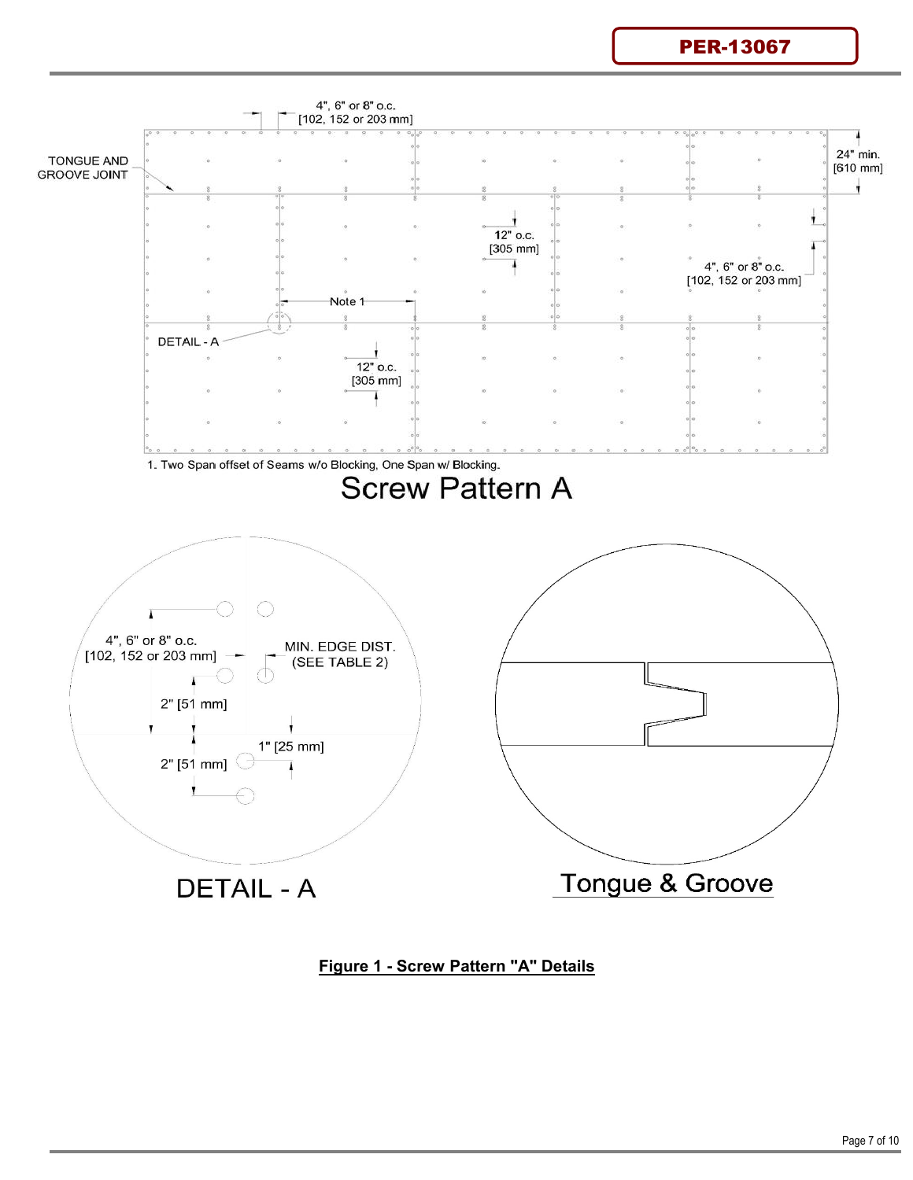PER-13067



# **Figure 1 - Screw Pattern "A" Details**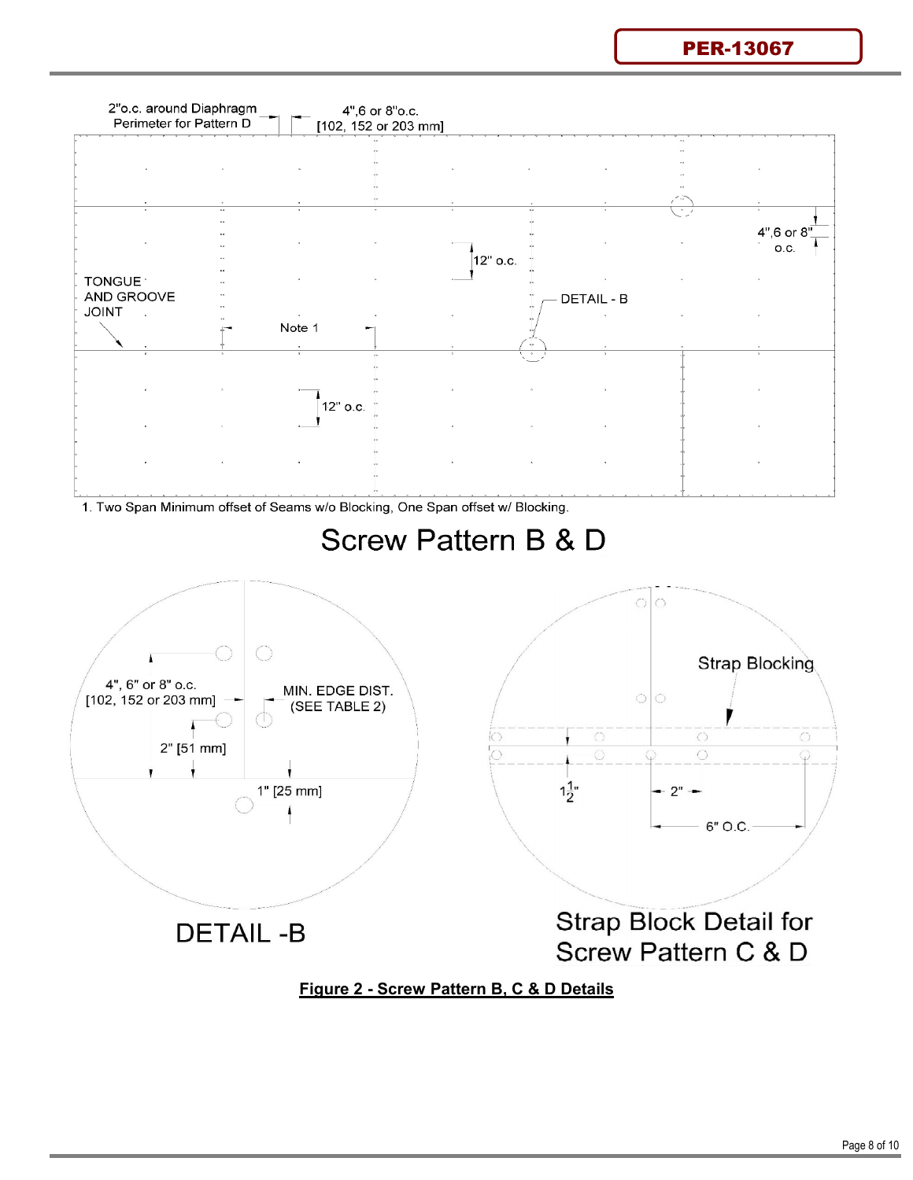PER-13067



1. Two Span Minimum offset of Seams w/o Blocking, One Span offset w/ Blocking.



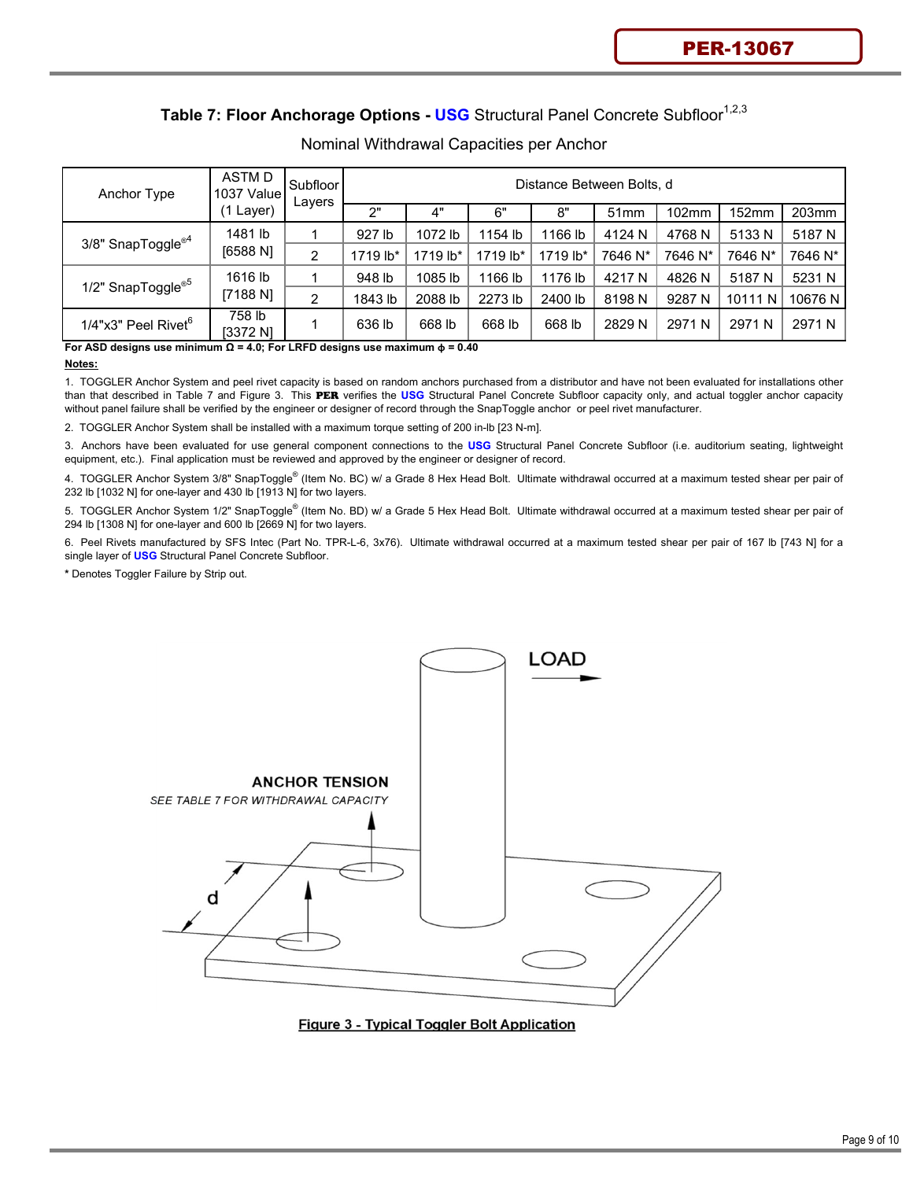# Table 7: Floor Anchorage Options - USG Structural Panel Concrete Subfloor<sup>1,2,3</sup>

| Anchor Type                     | ASTM D<br>1037 Value | Subfloor<br>Layers |          | Distance Between Bolts, d |          |          |         |          |         |           |  |  |
|---------------------------------|----------------------|--------------------|----------|---------------------------|----------|----------|---------|----------|---------|-----------|--|--|
|                                 | Layer)               |                    | 2"       | 4"                        | 6"       | 8"       | 51mm    | $102$ mm | 152mm   | 203mm     |  |  |
| 3/8" SnapToggle <sup>®4</sup>   | 1481 lb              |                    | 927 lb   | 1072 lb                   | 1154 lb  | 1166 lb  | 4124 N  | 4768 N   | 5133 N  | 5187 N    |  |  |
|                                 | [6588 N]             | 2                  | 1719 lb* | 1719 lb*                  | 1719 lb* | 1719 lb* | 7646 N* | 7646 N*  | 7646 N* | 7646 N*   |  |  |
|                                 | 1616 lb              |                    | 948 lb   | 1085 lb                   | 1166 lb  | 1176 lb  | 4217 N  | 4826 N   | 5187 N  | 5231 N    |  |  |
| 1/2" SnapToggle <sup>®5</sup>   | [7188 N]             | 2                  | 1843 lb  | 2088 lb                   | 2273 lb  | 2400 lb  | 8198 N  | 9287 N   | 10111 N | 10676 N I |  |  |
| 1/4"x3" Peel Rivet <sup>6</sup> | 758 lb<br>[3372 N]   |                    | 636 lb   | 668 lb                    | 668 lb   | 668 lb   | 2829 N  | 2971 N   | 2971 N  | 2971 N    |  |  |

### Nominal Withdrawal Capacities per Anchor

**For ASD designs use minimum Ω = 4.0; For LRFD designs use maximum φ = 0.40**

#### **Notes:**

1. TOGGLER Anchor System and peel rivet capacity is based on random anchors purchased from a distributor and have not been evaluated for installations other than that described in Table 7 and Figure 3. This PER verifies the **USG** Structural Panel Concrete Subfloor capacity only, and actual toggler anchor capacity without panel failure shall be verified by the engineer or designer of record through the SnapToggle anchor or peel rivet manufacturer.

2. TOGGLER Anchor System shall be installed with a maximum torque setting of 200 in-lb [23 N-m].

3. Anchors have been evaluated for use general component connections to the **USG** Structural Panel Concrete Subfloor (i.e. auditorium seating, lightweight equipment, etc.). Final application must be reviewed and approved by the engineer or designer of record.

4. TOGGLER Anchor System 3/8" SnapToggle® (Item No. BC) w/ a Grade 8 Hex Head Bolt. Ultimate withdrawal occurred at a maximum tested shear per pair of 232 lb [1032 N] for one-layer and 430 lb [1913 N] for two layers.

5. TOGGLER Anchor System 1/2" SnapToggle® (Item No. BD) w/ a Grade 5 Hex Head Bolt. Ultimate withdrawal occurred at a maximum tested shear per pair of 294 lb [1308 N] for one-layer and 600 lb [2669 N] for two layers.

6. Peel Rivets manufactured by SFS Intec (Part No. TPR-L-6, 3x76). Ultimate withdrawal occurred at a maximum tested shear per pair of 167 lb [743 N] for a single layer of **USG** Structural Panel Concrete Subfloor.

**\*** Denotes Toggler Failure by Strip out.



**Figure 3 - Typical Toggler Bolt Application**